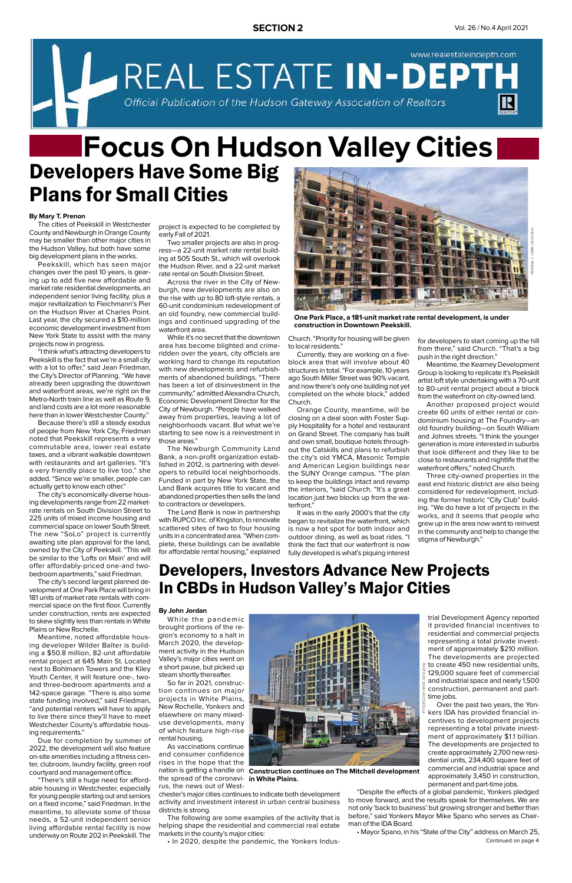www.realestateindepth.com REAL ESTATE IN-DEPT Official Publication of the Hudson Gateway Association of Realtors

#### **By Mary T. Prenon**

The cities of Peekskill in Westchester County and Newburgh in Orange County may be smaller than other major cities in the Hudson Valley, but both have some big development plans in the works.

Peekskill, which has seen major changes over the past 10 years, is gearing up to add five new affordable and market rate residential developments, an independent senior living facility, plus a major revitalization to Fleichmann's Pier on the Hudson River at Charles Point. Last year, the city secured a \$10-million economic development investment from New York State to assist with the many projects now in progress.

"I think what's attracting developers to Peekskill is the fact that we're a small city with a lot to offer," said Jean Friedman, the City's Director of Planning. "We have already been upgrading the downtown and waterfront areas, we're right on the Metro-North train line as well as Route 9, and land costs are a lot more reasonable here than in lower Westchester County."

Because there's still a steady exodus of people from New York City, Friedman noted that Peekskill represents a very commutable area, lower real estate taxes, and a vibrant walkable downtown with restaurants and art galleries. "It's a very friendly place to live too," she added. "Since we're smaller, people can actually get to know each other."

# Developers Have Some Big Plans for Small Cities **Focus On Hudson Valley Cities**

The city's economically-diverse housing developments range from 22 marketrate rentals on South Division Street to 225 units of mixed income housing and commercial space on lower South Street. The new "SoLo" project is currently awaiting site plan approval for the land, owned by the City of Peekskill. "This will be similar to the 'Lofts on Main' and will offer affordably-priced one-and twobedroom apartments," said Friedman.

The city's second largest planned development at One Park Place will bring in 181 units of market rate rentals with commercial space on the first floor. Currently under construction, rents are expected to skew slightly less than rentals in White Plains or New Rochelle.

Meantime, noted affordable housing developer Wilder Balter is build-

ing a \$50.8 million, 82-unit affordable rental project at 645 Main St. Located next to Bohlmann Towers and the Kiley Youth Center, it will feature one-, twoand three-bedroom apartments and a 142-space garage. "There is also some state funding involved," said Friedman, "and potential renters will have to apply to live there since they'll have to meet Westchester County's affordable housing requirements."

Due for completion by summer of 2022, the development will also feature on-site amenities including a fitness center, clubroom, laundry facility, green roof courtyard and management office.

"There's still a huge need for affordable housing in Westchester, especially for young people starting out and seniors on a fixed income," said Friedman. In the meantime, to alleviate some of those needs, a 52-unit independent senior living affordable rental facility is now underway on Route 202 in Peekskill. The

**One Park Place, a 181-unit market rate rental development, is under construction in Downtown Peekskill.** 



project is expected to be completed by early Fall of 2021.

Two smaller projects are also in progress—a 22-unit market rate rental building at 505 South St., which will overlook the Hudson River, and a 22-unit market rate rental on South Division Street.

Across the river in the City of Newburgh, new developments are also on the rise with up to 80 loft-style rentals, a 60-unit condominium redevelopment of an old foundry, new commercial buildings and continued upgrading of the waterfront area.

While it's no secret that the downtown area has become blighted and crimeridden over the years, city officials are working hard to change its reputation with new developments and refurbishments of abandoned buildings. "There has been a lot of disinvestment in the community," admitted Alexandra Church, Economic Development Director for the City of Newburgh. "People have walked away from properties, leaving a lot of neighborhoods vacant. But what we're starting to see now is a reinvestment in those areas."

The Newburgh Community Land Bank, a non-profit organization established in 2012, is partnering with developers to rebuild local neighborhoods. Funded in part by New York State, the Land Bank acquires title to vacant and abandoned properties then sells the land to contractors or developers.

> Continued on page 4 • Mayor Spano, in his "State of the City" address on March 25,



The Land Bank is now in partnership with RUPCO Inc. of Kingston, to renovate scattered sites of two to four housing units in a concentrated area. "When complete, these buildings can be available for affordable rental housing," explained

Church. "Priority for housing will be given to local residents."

Currently, they are working on a fiveblock area that will involve about 40 structures in total. "For example, 10 years ago South Miller Street was 90% vacant, and now there's only one building not yet completed on the whole block," added Church.

Orange County, meantime, will be closing on a deal soon with Foster Supply Hospitality for a hotel and restaurant on Grand Street. The company has built and own small, boutique hotels throughout the Catskills and plans to refurbish the city's old YMCA, Masonic Temple and American Legion buildings near the SUNY Orange campus. "The plan to keep the buildings intact and revamp the interiors, "said Church. "It's a great location just two blocks up from the waterfront."

It was in the early 2000's that the city began to revitalize the waterfront, which is now a hot spot for both indoor and outdoor dining, as well as boat rides. "I think the fact that our waterfront is now fully developed is what's piquing interest for developers to start coming up the hill from there," said Church. "That's a big push in the right direction."

Meantime, the Kearney Development Group is looking to replicate it's Peekskill artist loft style undertaking with a 70-unit to 80-unit rental project about a block from the waterfront on city-owned land.

Another proposed project would create 60 units of either rental or condominium housing at The Foundry—an old foundry building—on South William and Johnes streets. "I think the younger generation is more interested in suburbs that look different and they like to be close to restaurants and nightlife that the waterfront offers," noted Church.

Three city-owned properties in the east end historic district are also being considered for redevelopment, including the former historic "City Club" building. "We do have a lot of projects in the works, and it seems that people who grew up in the area now want to reinvest in the community and help to change the stigma of Newburgh."

#### **By John Jordan**

While the pandemic brought portions of the region's economy to a halt in March 2020, the development activity in the Hudson Valley's major cities went on a short pause, but picked up steam shortly thereafter. So far in 2021, construction continues on major projects in White Plains, New Rochelle, Yonkers and elsewhere on many mixeduse developments, many of which feature high-rise rental housing. As vaccinations continue and consumer confidence rises in the hope that the



chester's major cities continues to indicate both development activity and investment interest in urban central business districts is strong.

The following are some examples of the activity that is helping shape the residential and commercial real estate markets in the county's major cities:

• In 2020, despite the pandemic, the Yonkers Indus-

## Developers, Investors Advance New Projects In CBDs in Hudson Valley's Major Cities

nation is getting a handle on **Construction continues on The Mitchell development**  the spread of the coronavirus, the news out of West**in White Plains.**

trial Development Agency reported it provided financial incentives to residential and commercial projects representing a total private investment of approximately \$210 million. The developments are projected to create 450 new residential units, 129,000 square feet of commercial and industrial space and nearly 1,500 construction, permanent and parttime jobs. Over the past two years, the Yonkers IDA has provided financial incentives to development projects representing a total private investment of approximately \$1.1 billion. The developments are projected to create approximately 2,700 new residential units, 234,400 square feet of commercial and industrial space and approximately 3,450 in construction, permanent and part-time jobs. PHOTO BY JOHN VECCHIOLLA

"Despite the effects of a global pandemic, Yonkers pledged to move forward, and the results speak for themselves. We are not only 'back to business' but growing stronger and better than before," said Yonkers Mayor Mike Spano who serves as Chairman of the IDA Board.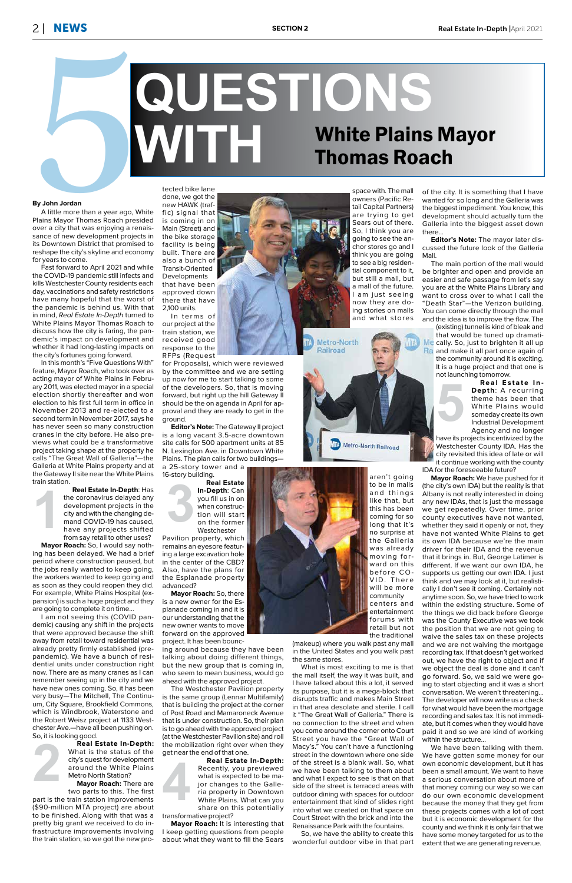**1**

**5**

#### **By John Jordan**

A little more than a year ago, White Plains Mayor Thomas Roach presided over a city that was enjoying a renaissance of new development projects in its Downtown District that promised to reshape the city's skyline and economy for years to come.

Fast forward to April 2021 and while the COVID-19 pandemic still infects and kills Westchester County residents each day, vaccinations and safety restrictions have many hopeful that the worst of the pandemic is behind us. With that in mind, Real Estate In-Depth turned to White Plains Mayor Thomas Roach to discuss how the city is faring, the pandemic's impact on development and whether it had long-lasting impacts on the city's fortunes going forward.

In this month's "Five Questions With" feature, Mayor Roach, who took over as acting mayor of White Plains in February 2011, was elected mayor in a special election shortly thereafter and won election to his first full term in office in November 2013 and re-elected to a second term in November 2017, says he has never seen so many construction cranes in the city before. He also previews what could be a transformative project taking shape at the property he calls "The Great Wall of Galleria"—the Galleria at White Plains property and at the Gateway II site near the White Plains train station.

**2** I am not seeing this (COVID pandemic) causing any shift in the projects that were approved because the shift away from retail toward residential was already pretty firmly established (prepandemic). We have a bunch of residential units under construction right now. There are as many cranes as I can remember seeing up in the city and we have new ones coming. So, it has been very busy—The Mitchell, The Continuum, City Square, Brookfield Commons, which is Windbrook, Waterstone and the Robert Weisz project at 1133 Westchester Ave.—have all been pushing on. So, it is looking good. **Real Estate In-Depth:** What is the status of the city's quest for development around the White Plains Metro North Station? **Mayor Roach:** There are

# By John Jordan<br>
By John Jordan<br> **Explore the policy of the Contact School and the Contact School and the Contact School and the Contact School and the Contact School and the Contact School and the Contact School and the Co White Plains Mayor**<br>
Thomas Roach Thomas Roach

**Real Estate In-Depth**: Has the coronavirus delayed any development projects in the city and with the changing demand COVID-19 has caused, have any projects shifted from say retail to other uses?

In terms of our project at the train station, we received good response to the RFPs (Request

**Mayor Roach:** So, I would say nothing has been delayed. We had a brief period where construction paused, but the jobs really wanted to keep going, the workers wanted to keep going and as soon as they could reopen they did. For example, White Plains Hospital (expansion) is such a huge project and they are going to complete it on time…

**3 Real Estate In-Depth**: Can you fill us in on when construction will start on the former Westchester

**4 Real Estate In-Depth:** Recently, you previewed what is expected to be major changes to the Galleria property in Downtown White Plains. What can you share on this potentially transformative project?

two parts to this. The first part is the train station improvements (\$90-million MTA project) are about to be finished. Along with that was a pretty big grant we received to do infrastructure improvements involving the train station, so we got the new protected bike lane done, we got the new HAWK (traf-

fic) signal that is coming in on Main (Street) and the bike storage facility is being built. There are also a bunch of Transit-Oriented **Developments** that have been approved down there that have 2,100 units.

for Proposals), which were reviewed by the committee and we are setting up now for me to start talking to some of the developers. So, that is moving forward, but right up the hill Gateway II should be the on agenda in April for approval and they are ready to get in the ground.

**Editor's Note:** The Gateway II project is a long vacant 3.5-acre downtown site calls for 500 apartment units at 85 N. Lexington Ave. in Downtown White Plains. The plan calls for two buildings—

a 25-story tower and a 16-story building.

Pavilion property, which remains an eyesore featuring a large excavation hole in the center of the CBD? Also, have the plans for the Esplanade property advanced?

**Mayor Roach:** So, there is a new owner for the Esplanade coming in and it is our understanding that the new owner wants to move forward on the approved

project. It has been bounc-



ing around because they have been talking about doing different things, but the new group that is coming in, who seem to mean business, would go ahead with the approved project.

The Westchester Pavilion property is the same group (Lennar Multifamily) that is building the project at the corner of Post Road and Mamaroneck Avenue that is under construction. So, their plan is to go ahead with the approved project (at the Westchester Pavilion site) and roll the mobilization right over when they get near the end of that one.

**Mayor Roach:** It is interesting that I keep getting questions from people about what they want to fill the Sears

space with. The mall owners (Pacific Retail Capital Partners) are trying to get Sears out of there. So, I think you are going to see the anchor stores go and I think you are going to see a big residential component to it, but still a mall, but a mall of the future. am just seeing now they are doing stories on malls and what stores



aren't going to be in malls and things like that, but this has been coming for so long that it's no surprise at the Galleria was already moving forward on this before CO-VID. There will be more community centers and entertainment forums with



(makeup) where you walk past any mall

in the United States and you walk past the same stores.

What is most exciting to me is that the mall itself, the way it was built, and I have talked about this a lot, it served its purpose, but it is a mega-block that disrupts traffic and makes Main Street in that area desolate and sterile. I call it "The Great Wall of Galleria." There is no connection to the street and when you come around the corner onto Court Street you have the "Great Wall of Macy's." You can't have a functioning street in the downtown where one side of the street is a blank wall. So, what we have been talking to them about and what I expect to see is that on that side of the street is terraced areas with outdoor dining with spaces for outdoor entertainment that kind of slides right into what we created on that space on Court Street with the brick and into the Renaissance Park with the fountains.

So, we have the ability to create this wonderful outdoor vibe in that part

of the city. It is something that I have wanted for so long and the Galleria was the biggest impediment. You know, this development should actually turn the Galleria into the biggest asset down

there… **Editor's Note:** The mayor later discussed the future look of the Galleria Mall.

The main portion of the mall would be brighter and open and provide an easier and safe passage from let's say you are at the White Plains Library and want to cross over to what I call the "Death Star"—the Verizon building. You can come directly through the mall and the idea is to improve the flow. The

(existing) tunnel is kind of bleak and that would be tuned up dramati-Me cally. So, just to brighten it all up Ra and make it all part once again of the community around it is exciting. It is a huge project and that one is not launching tomorrow.

**Real Estate In-Depth**: A recurring theme has been that White Plains would someday create its own Industrial Development Agency and no longer

have its projects incentivized by the Westchester County IDA. Has the city revisited this idea of late or will it continue working with the county

IDA for the foreseeable future?

**Mayor Roach:** We have pushed for it (the city's own IDA) but the reality is that Albany is not really interested in doing any new IDAs, that is just the message we get repeatedly. Over time, prior county executives have not wanted, whether they said it openly or not, they have not wanted White Plains to get its own IDA because we're the main driver for their IDA and the revenue that it brings in. But, George Latimer is different. If we want our own IDA, he supports us getting our own IDA. I just think and we may look at it, but realistically I don't see it coming. Certainly not anytime soon. So, we have tried to work within the existing structure. Some of the things we did back before George was the County Executive was we took the position that we are not going to waive the sales tax on these projects and we are not waiving the mortgage recording tax. If that doesn't get worked out, we have the right to object and if we object the deal is done and it can't go forward. So, we said we were going to start objecting and it was a short conversation. We weren't threatening… The developer will now write us a check for what would have been the mortgage recording and sales tax. It is not immediate, but it comes when they would have paid it and so we are kind of working within the structure… We have been talking with them. We have gotten some money for our own economic development, but it has been a small amount. We want to have a serious conversation about more of that money coming our way so we can do our own economic development because the money that they get from these projects comes with a lot of cost but it is economic development for the county and we think it is only fair that we have some money targeted for us to the extent that we are generating revenue.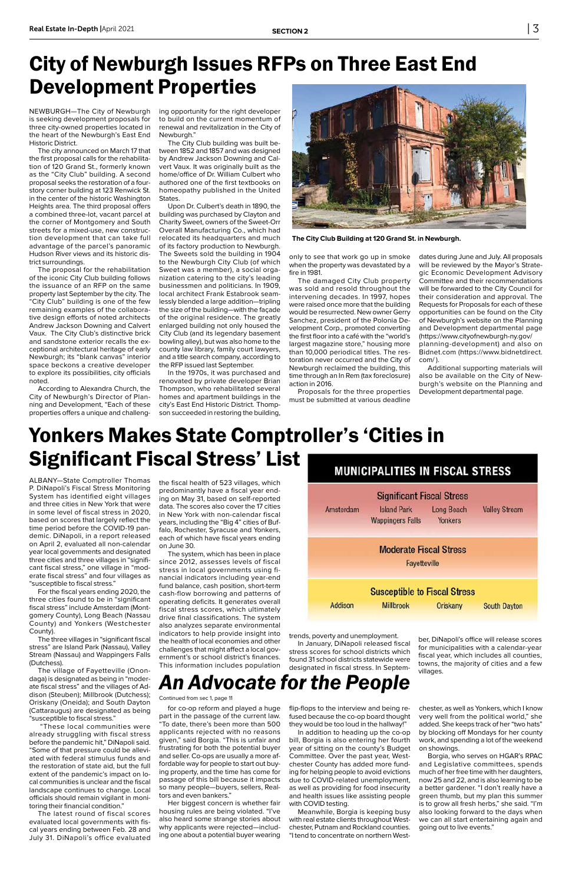NEWBURGH—The City of Newburgh is seeking development proposals for three city-owned properties located in the heart of the Newburgh's East End Historic District.

The city announced on March 17 that the first proposal calls for the rehabilitation of 120 Grand St., formerly known as the "City Club" building. A second proposal seeks the restoration of a fourstory corner building at 123 Renwick St. in the center of the historic Washington Heights area. The third proposal offers a combined three-lot, vacant parcel at the corner of Montgomery and South streets for a mixed-use, new construction development that can take full advantage of the parcel's panoramic Hudson River views and its historic district surroundings.

The proposal for the rehabilitation of the iconic City Club building follows the issuance of an RFP on the same property last September by the city. The "City Club" building is one of the few remaining examples of the collaborative design efforts of noted architects Andrew Jackson Downing and Calvert Vaux. The City Club's distinctive brick and sandstone exterior recalls the exceptional architectural heritage of early Newburgh; its "blank canvas" interior space beckons a creative developer to explore its possibilities, city officials noted.

According to Alexandra Church, the City of Newburgh's Director of Planning and Development, "Each of these properties offers a unique and challenging opportunity for the right developer to build on the current momentum of renewal and revitalization in the City of Newburgh."

The City Club building was built between 1852 and 1857 and was designed by Andrew Jackson Downing and Calvert Vaux. It was originally built as the home/office of Dr. William Culbert who authored one of the first textbooks on homeopathy published in the United States.

Upon Dr. Culbert's death in 1890, the building was purchased by Clayton and Charity Sweet, owners of the Sweet-Orr Overall Manufacturing Co., which had relocated its headquarters and much of its factory production to Newburgh. The Sweets sold the building in 1904 to the Newburgh City Club (of which Sweet was a member), a social organization catering to the city's leading businessmen and politicians. In 1909, local architect Frank Estabrook seamlessly blended a large addition—tripling the size of the building—with the façade of the original residence. The greatly enlarged building not only housed the City Club (and its legendary basement bowling alley), but was also home to the county law library, family court lawyers, and a title search company, according to the RFP issued last September.

In the 1970s, it was purchased and renovated by private developer Brian Thompson, who rehabilitated several homes and apartment buildings in the city's East End Historic District. Thompson succeeded in restoring the building,

## City of Newburgh Issues RFPs on Three East End Development Properties



**The City Club Building at 120 Grand St. in Newburgh.**

only to see that work go up in smoke when the property was devastated by a fire in 1981.

The damaged City Club property was sold and resold throughout the intervening decades. In 1997, hopes were raised once more that the building would be resurrected. New owner Gerry Sanchez, president of the Polonia Development Corp., promoted converting the first floor into a café with the "world's largest magazine store," housing more than 10,000 periodical titles. The restoration never occurred and the City of Newburgh reclaimed the building, this time through an In Rem (tax foreclosure) action in 2016.

> ber, DiNapoli's office will release scores municipalities with a calendar-year

Proposals for the three properties must be submitted at various deadline dates during June and July. All proposals will be reviewed by the Mayor's Strategic Economic Development Advisory Committee and their recommendations will be forwarded to the City Council for their consideration and approval. The Requests for Proposals for each of these opportunities can be found on the City of Newburgh's website on the Planning and Development departmental page (https://www.cityofnewburgh-ny.gov/ planning-development) and also on Bidnet.com (https://www.bidnetdirect. com/ ).

Additional supporting materials will also be available on the City of Newburgh's website on the Planning and Development departmental page.

ALBANY—State Comptroller Thomas P. DiNapoli's Fiscal Stress Monitoring System has identified eight villages and three cities in New York that were in some level of fiscal stress in 2020, based on scores that largely reflect the time period before the COVID-19 pandemic. DiNapoli, in a report released on April 2, evaluated all non-calendar year local governments and designated three cities and three villages in "significant fiscal stress," one village in "moderate fiscal stress" and four villages as "susceptible to fiscal stress."

For the fiscal years ending 2020, the three cities found to be in "significant fiscal stress" include Amsterdam (Montgomery County), Long Beach (Nassau County) and Yonkers (Westchester County).

The three villages in "significant fiscal ress" are Island Park (Nassau), Valley Stream (Nassau) and Wappingers Falls (Dutchess).

The village of Fayetteville (Onondaga) is designated as being in "moderate fiscal stress" and the villages of Addison (Steuben); Millbrook (Dutchess); Oriskany (Oneida); and South Dayton (Cattaraugus) are designated as being "susceptible to fiscal stress."

 "These local communities were already struggling with fiscal stress before the pandemic hit," DiNapoli said. "Some of that pressure could be alleviated with federal stimulus funds and the restoration of state aid, but the full extent of the pandemic's impact on local communities is unclear and the fiscal landscape continues to change. Local officials should remain vigilant in monitoring their financial condition."

The latest round of fiscal scores evaluated local governments with fiscal years ending between Feb. 28 and July 31. DiNapoli's office evaluated

the fiscal health of 523 villages, which predominantly have a fiscal year ending on May 31, based on self-reported data. The scores also cover the 17 cities in New York with non-calendar fiscal years, including the "Big 4" cities of Buffalo, Rochester, Syracuse and Yonkers, each of which have fiscal years ending on June 30.

The system, which has been in place since 2012, assesses levels of fiscal stress in local governments using financial indicators including year-end fund balance, cash position, short-term cash-flow borrowing and patterns of operating deficits. It generates overall fiscal stress scores, which ultimately drive final classifications. The system also analyzes separate environmental indicators to help provide insight into the health of local economies and other challenges that might affect a local government's or school district's finances. This information includes population



# Yonkers Makes State Comptroller's 'Cities in Significant Fiscal Stress' List

trends, poverty and unemployment. In January, DiNapoli released fiscal

stress scores for school districts which found 31 school districts statewide were designated in fiscal stress. In Septem-

fiscal year, which includes all counties, towns, the majority of cities and a few villages.

for co-op reform and played a huge part in the passage of the current law. "To date, there's been more than 500 applicants rejected with no reasons given," said Borgia. "This is unfair and frustrating for both the potential buyer and seller. Co-ops are usually a more affordable way for people to start out buying property, and the time has come for passage of this bill because it impacts so many people—buyers, sellers, Realtors and even bankers."

Her biggest concern is whether fair housing rules are being violated. "I've also heard some strange stories about why applicants were rejected—including one about a potential buyer wearing flip-flops to the interview and being refused because the co-op board thought they would be too loud in the hallway!"

In addition to heading up the co-op bill, Borgia is also entering her fourth year of sitting on the county's Budget Committee. Over the past year, Westchester County has added more funding for helping people to avoid evictions due to COVID-related unemployment, as well as providing for food insecurity and health issues like assisting people with COVID testing.

Meanwhile, Borgia is keeping busy with real estate clients throughout Westchester, Putnam and Rockland counties. "I tend to concentrate on northern West-

chester, as well as Yonkers, which I know very well from the political world," she added. She keeps track of her "two hats" by blocking off Mondays for her county work, and spending a lot of the weekend on showings.

Borgia, who serves on HGAR's RPAC and Legislative committees, spends much of her free time with her daughters, now 25 and 22, and is also learning to be a better gardener. "I don't really have a green thumb, but my plan this summer is to grow all fresh herbs," she said. "I'm also looking forward to the days when we can all start entertaining again and going out to live events."

## *An Advocate for the People*

Continued from sec 1, page 11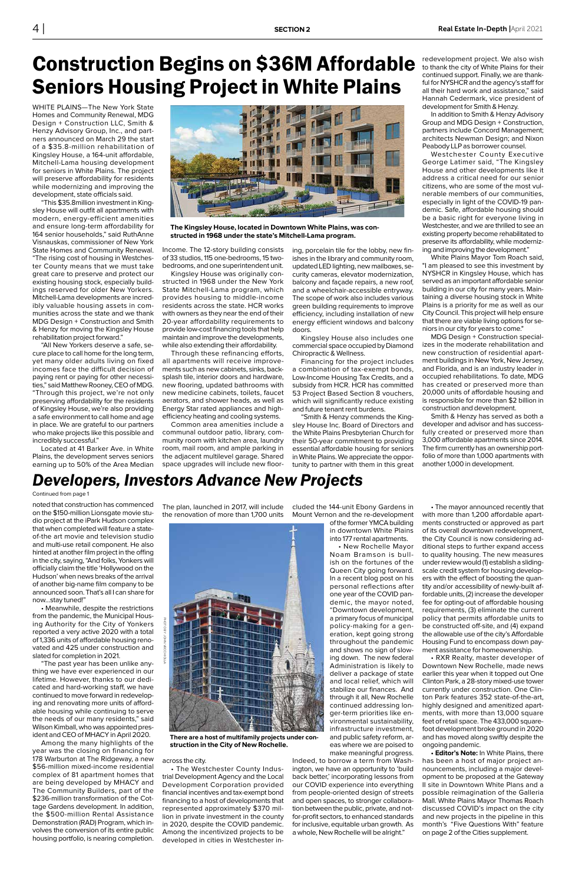WHITE PLAINS—The New York State Homes and Community Renewal, MDG Design + Construction LLC, Smith & Henzy Advisory Group, Inc., and partners announced on March 29 the start of a \$35.8-million rehabilitation of Kingsley House, a 164-unit affordable, Mitchell-Lama housing development for seniors in White Plains. The project will preserve affordability for residents while modernizing and improving the development, state officials said.

"This \$35.8million investment in Kingsley House will outfit all apartments with modern, energy-efficient amenities and ensure long-term affordability for 164 senior households," said RuthAnne Visnauskas, commissioner of New York State Homes and Community Renewal. "The rising cost of housing in Westchester County means that we must take great care to preserve and protect our existing housing stock, especially buildings reserved for older New Yorkers. Mitchell-Lama developments are incredibly valuable housing assets in communities across the state and we thank MDG Design + Construction and Smith & Henzy for moving the Kingsley House rehabilitation project forward."

"All New Yorkers deserve a safe, secure place to call home for the long term, yet many older adults living on fixed incomes face the difficult decision of paying rent or paying for other necessities," said Matthew Rooney, CEO of MDG. "Through this project, we're not only preserving affordability for the residents of Kingsley House, we're also providing a safe environment to call home and age in place. We are grateful to our partners who make projects like this possible and incredibly successful."

Located at 41 Barker Ave. in White Plains, the development serves seniors earning up to 50% of the Area Median Income. The 12-story building consists of 33 studios, 115 one-bedrooms, 15 twobedrooms, and one superintendent unit.

Kingsley House was originally constructed in 1968 under the New York State Mitchell-Lama program, which provides housing to middle-income residents across the state. HCR works with owners as they near the end of their 20-year affordability requirements to provide low-cost financing tools that help maintain and improve the developments, while also extending their affordability.

Through these refinancing efforts, all apartments will receive improvements such as new cabinets, sinks, backsplash tile, interior doors and hardware, new flooring, updated bathrooms with new medicine cabinets, toilets, faucet aerators, and shower heads, as well as Energy Star rated appliances and highefficiency heating and cooling systems.

Common area amenities include a communal outdoor patio, library, community room with kitchen area, laundry room, mail room, and ample parking in the adjacent multilevel garage. Shared space upgrades will include new floor-

## Construction Begins on \$36M Affordable Seniors Housing Project in White Plains



**The Kingsley House, located in Downtown White Plains, was constructed in 1968 under the state's Mitchell-Lama program.**

ing, porcelain tile for the lobby, new finishes in the library and community room, updated LED lighting, new mailboxes, security cameras, elevator modernization, balcony and façade repairs, a new roof, and a wheelchair-accessible entryway. The scope of work also includes various green building requirements to improve efficiency, including installation of new energy efficient windows and balcony doors.

Kingsley House also includes one commercial space occupied by Diamond Chiropractic & Wellness.

Financing for the project includes a combination of tax-exempt bonds, Low-Income Housing Tax Credits, and a subsidy from HCR. HCR has committed 53 Project Based Section 8 vouchers, which will significantly reduce existing and future tenant rent burdens.

"Smith & Henzy commends the Kingsley House Inc. Board of Directors and the White Plains Presbyterian Church for their 50-year commitment to providing essential affordable housing for seniors in White Plains. We appreciate the opportunity to partner with them in this great redevelopment project. We also wish to thank the city of White Plains for their continued support. Finally, we are thankful for NYSHCR and the agency's staff for all their hard work and assistance," said Hannah Cedermark, vice president of development for Smith & Henzy.

In addition to Smith & Henzy Advisory Group and MDG Design + Construction, partners include Concord Management; architects Newman Design; and Nixon Peabody LLP as borrower counsel.

Westchester County Executive George Latimer said, "The Kingsley House and other developments like it address a critical need for our senior citizens, who are some of the most vulnerable members of our communities, especially in light of the COVID-19 pandemic. Safe, affordable housing should be a basic right for everyone living in Westchester, and we are thrilled to see an existing property become rehabilitated to preserve its affordability, while modernizing and improving the development."

White Plains Mayor Tom Roach said, "I am pleased to see this investment by NYSHCR in Kingsley House, which has served as an important affordable senior building in our city for many years. Maintaining a diverse housing stock in White Plains is a priority for me as well as our City Council. This project will help ensure that there are viable living options for seniors in our city for years to come."

MDG Design + Construction specializes in the moderate rehabilitation and new construction of residential apartment buildings in New York, New Jersey, and Florida, and is an industry leader in occupied rehabilitations. To date, MDG has created or preserved more than 20,000 units of affordable housing and is responsible for more than \$2 billion in construction and development.

Smith & Henzy has served as both a developer and advisor and has successfully created or preserved more than 3,000 affordable apartments since 2014. The firm currently has an ownership portfolio of more than 1,000 apartments with another 1,000 in development.

noted that construction has commenced on the \$150-million Lionsgate movie studio project at the iPark Hudson complex that when completed will feature a stateof-the art movie and television studio and multi-use retail component. He also hinted at another film project in the offing in the city, saying, "And folks, Yonkers will officially claim the title 'Hollywood on the Hudson' when news breaks of the arrival of another big-name film company to be announced soon. That's all I can share for now…stay tuned!"

• Meanwhile, despite the restrictions from the pandemic, the Municipal Housing Authority for the City of Yonkers reported a very active 2020 with a total of 1,336 units of affordable housing renovated and 425 under construction and

slated for completion in 2021.

"The past year has been unlike anything we have ever experienced in our lifetime. However, thanks to our dedicated and hard-working staff, we have continued to move forward in redeveloping and renovating more units of affordable housing while continuing to serve the needs of our many residents," said Wilson Kimball, who was appointed president and CEO of MHACY in April 2020.

Among the many highlights of the year was the closing on financing for 178 Warburton at The Ridgeway, a new \$56-million mixed-income residential complex of 81 apartment homes that are being developed by MHACY and The Community Builders, part of the \$236-million transformation of the Cottage Gardens development. In addition, the \$500-million Rental Assistance Demonstration (RAD) Program, which involves the conversion of its entire public housing portfolio, is nearing completion. The plan, launched in 2017, will include the renovation of more than 1,700 units

across the city.

• The Westchester County Industrial Development Agency and the Local Development Corporation provided financial incentives and tax-exempt bond financing to a host of developments that represented approximately \$370 million in private investment in the county in 2020, despite the COVID pandemic. Among the incentivized projects to be developed in cities in Westchester included the 144-unit Ebony Gardens in Mount Vernon and the re-development

> of the former YMCA building in downtown White Plains into 177 rental apartments.

• New Rochelle Mayor Noam Bramson is bullish on the fortunes of the Queen City going forward. In a recent blog post on his personal reflections after one year of the COVID pandemic, the mayor noted, "Downtown development, a primary focus of municipal policy-making for a generation, kept going strong throughout the pandemic and shows no sign of slowing down. The new federal Administration is likely to deliver a package of state and local relief, which will stabilize our finances. And through it all, New Rochelle continued addressing longer-term priorities like environmental sustainability, infrastructure investment, and public safety reform, areas where we are poised to make meaningful progress. Indeed, to borrow a term from Washington, we have an opportunity to 'build back better,' incorporating lessons from our COVID experience into everything from people-oriented design of streets and open spaces, to stronger collaboration between the public, private, and notfor-profit sectors, to enhanced standards for inclusive, equitable urban growth. As a whole, New Rochelle will be alright."

• The mayor announced recently that with more than 1,200 affordable apartments constructed or approved as part of its overall downtown redevelopment, the City Council is now considering additional steps to further expand access to quality housing. The new measures under review would (1) establish a slidingscale credit system for housing developers with the effect of boosting the quantity and/or accessibility of newly-built affordable units, (2) increase the developer fee for opting-out of affordable housing requirements, (3) eliminate the current policy that permits affordable units to be constructed off-site, and (4) expand the allowable use of the city's Affordable Housing Fund to encompass down payment assistance for homeownership. • RXR Realty, master developer of Downtown New Rochelle, made news earlier this year when it topped out One Clinton Park, a 28-story mixed-use tower currently under construction. One Clinton Park features 352 state-of-the-art, highly designed and amenitized apartments, with more than 13,000 square feet of retail space. The 433,000 squarefoot development broke ground in 2020 and has moved along swiftly despite the ongoing pandemic. **• Editor's Note:** In White Plains, there has been a host of major project announcements, including a major development to be proposed at the Gateway II site in Downtown White Plans and a possible reimagination of the Galleria Mall. White Plains Mayor Thomas Roach discussed COVID's impact on the city and new projects in the pipeline in this month's "Five Questions With" feature on page 2 of the Cities supplement.

#### Continued from page 1

## *Developers, Investors Advance New Projects*



**There are a host of multifamily projects under construction in the City of New Rochelle.**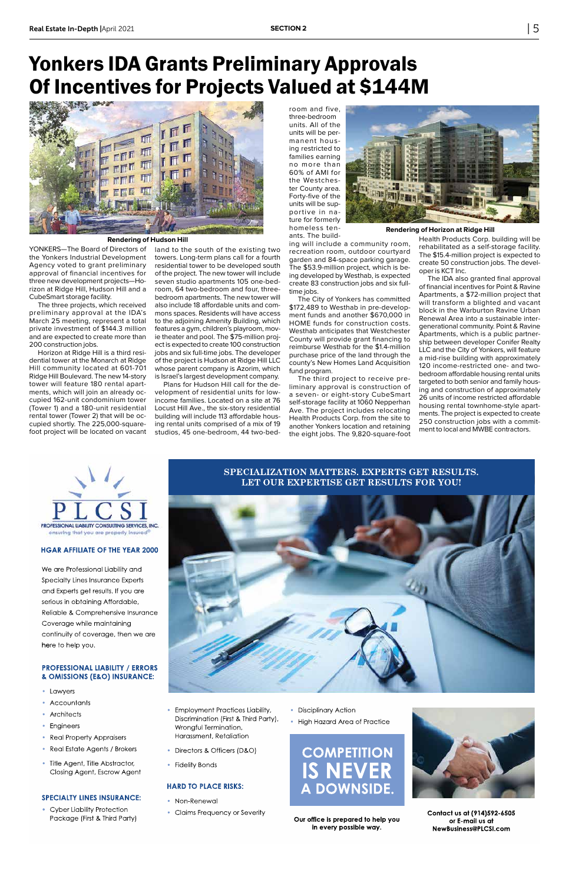YONKERS—The Board of Directors of the Yonkers Industrial Development Agency voted to grant preliminary approval of financial incentives for three new development projects—Horizon at Ridge Hill, Hudson Hill and a CubeSmart storage facility.

The three projects, which received preliminary approval at the IDA's March 25 meeting, represent a total private investment of \$144.3 million and are expected to create more than 200 construction jobs.

Horizon at Ridge Hill is a third residential tower at the Monarch at Ridge Hill community located at 601-701 Ridge Hill Boulevard. The new 14-story tower will feature 180 rental apartments, which will join an already occupied 162-unit condominium tower (Tower 1) and a 180-unit residential rental tower (Tower 2) that will be occupied shortly. The 225,000-squarefoot project will be located on vacant

land to the south of the existing two towers. Long-term plans call for a fourth residential tower to be developed south of the project. The new tower will include seven studio apartments 105 one-bedroom, 64 two-bedroom and four, threebedroom apartments. The new tower will also include 18 affordable units and commons spaces. Residents will have access to the adjoining Amenity Building, which features a gym, children's playroom, movie theater and pool. The \$75-million project is expected to create 100 construction jobs and six full-time jobs. The developer of the project is Hudson at Ridge Hill LLC whose parent company is Azorim, which is Israel's largest development company.

Plans for Hudson Hill call for the development of residential units for lowincome families. Located on a site at 76 Locust Hill Ave., the six-story residential building will include 113 affordable housing rental units comprised of a mix of 19 studios, 45 one-bedroom, 44 two-bed-





**Rendering of Hudson Hill**

room and five, three-bedroom units. All of the units will be permanent housing restricted to families earning no more than 60% of AMI for the Westchester County area. Forty-five of the units will be supportive in nature for formerly homeless tenants. The build-

ing will include a community room, recreation room, outdoor courtyard garden and 84-space parking garage. The \$53.9-million project, which is being developed by Westhab, is expected create 83 construction jobs and six fulltime jobs.

The City of Yonkers has committed \$172,489 to Westhab in pre-development funds and another \$670,000 in HOME funds for construction costs. Westhab anticipates that Westchester County will provide grant financing to reimburse Westhab for the \$1.4-million purchase price of the land through the county's New Homes Land Acquisition fund program.

The third project to receive preliminary approval is construction of a seven- or eight-story CubeSmart self-storage facility at 1060 Nepperhan Ave. The project includes relocating Health Products Corp. from the site to another Yonkers location and retaining the eight jobs. The 9,820-square-foot

Health Products Corp. building will be rehabilitated as a self-storage facility. The \$15.4-million project is expected to

create 50 construction jobs. The devel-

oper is KCT Inc. The IDA also granted final approval of financial incentives for Point & Ravine Apartments, a \$72-million project that will transform a blighted and vacant block in the Warburton Ravine Urban Renewal Area into a sustainable intergenerational community. Point & Ravine Apartments, which is a public partnership between developer Conifer Realty LLC and the City of Yonkers, will feature a mid-rise building with approximately 120 income-restricted one- and twobedroom affordable housing rental units targeted to both senior and family housing and construction of approximately 26 units of income restricted affordable housing rental townhome-style apartments. The project is expected to create 250 construction jobs with a commitment to local and MWBE contractors.



#### **HARD TO PLACE RISKS:**

- Non-Renewal
- Claims Frequency or Severity
- Disciplinary Action
- High Hazard Area of Practice





**Contact us at (914)592-6505 or E-mail us at NewBusiness@PLCSI.com**

**Our office is prepared to help you in every possible way.**

- Cyber Liability Protection Package (First & Third Party)
- Employment Practices Liability, Discrimination (First & Third Party), Wrongful Termination, Harassment, Retaliation
- Directors & Officers (D&O)
- Fidelity Bonds

We are Professional Liability and Specialty Lines Insurance Experts and Experts get results. If you are serious in obtaining Affordable, Reliable & Comprehensive Insurance Coverage while maintaining continuity of coverage, then we are here to help you.

#### **PROFESSIONAL LIABILITY / ERRORS & OMISSIONS (E&O) INSURANCE:**

- Lawyers
- Accountants
- **Architects**
- Engineers
- Real Property Appraisers
- Real Estate Agents / Brokers
- Title Agent, Title Abstractor, Closing Agent, Escrow Agent

#### **SPECIALTY LINES INSURANCE:**

#### **HGAR AFFILIATE OF THE YEAR 2000**

#### **SPECIALIZATION MATTERS. EXPERTS GET RESULTS. LET OUR EXPERTISE GET RESULTS FOR YOU!**

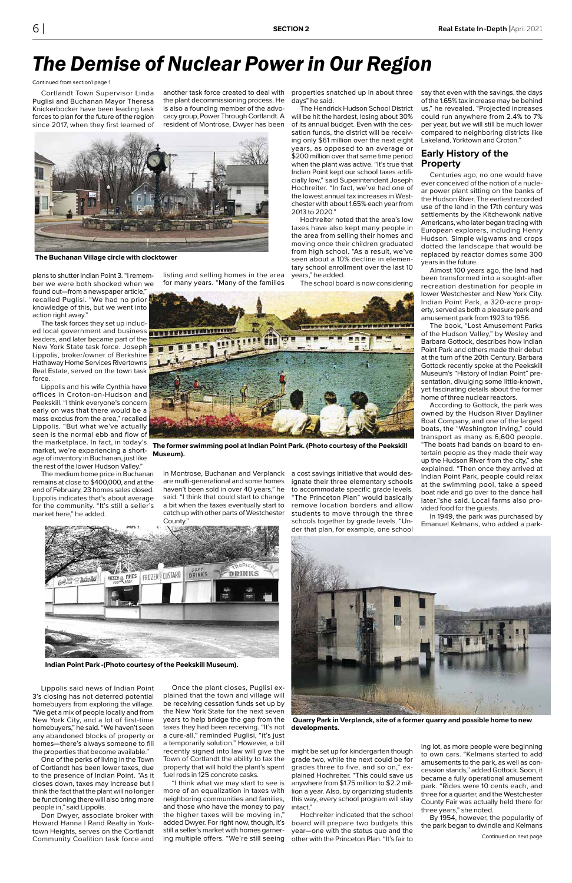Cortlandt Town Supervisor Linda Puglisi and Buchanan Mayor Theresa Knickerbocker have been leading task forces to plan for the future of the region since 2017, when they first learned of

plans to shutter Indian Point 3. "I remember we were both shocked when we found out—from a newspaper article," recalled Puglisi. "We had no prior knowledge of this, but we went into action right away."

The task forces they set up included local government and business **FORWERT BUTHERTHEITED** leaders, and later became part of the New York State task force. Joseph Lippolis, broker/owner of Berkshire Hathaway Home Services Rivertowns Real Estate, served on the town task force.

Lippolis and his wife Cynthia have offices in Croton-on-Hudson and Peekskill. "I think everyone's concern early on was that there would be a mass exodus from the area," recalled Lippolis. "But what we've actually seen is the normal ebb and flow of the marketplace. In fact, in today's market, we're experiencing a shortage of inventory in Buchanan, just like the rest of the lower Hudson Valley."

The medium home price in Buchanan remains at close to \$400,000, and at the end of February, 23 homes sales closed. Lippolis indicates that's about average for the community. "It's still a seller's market here," he added.

Lippolis said news of Indian Point 3's closing has not deterred potential homebuyers from exploring the village. "We get a mix of people locally and from New York City, and a lot of first-time homebuyers," he said. "We haven't seen any abandoned blocks of property or homes—there's always someone to fill the properties that become available."

One of the perks of living in the Town of Cortlandt has been lower taxes, due to the presence of Indian Point. "As it closes down, taxes may increase but I think the fact that the plant will no longer be functioning there will also bring more people in," said Lippolis.

Don Dwyer, associate broker with Howard Hanna | Rand Realty in Yorktown Heights, serves on the Cortlandt Community Coalition task force and

another task force created to deal with properties snatched up in about three the plant decommissioning process. He is also a founding member of the advocacy group, Power Through Cortlandt. A resident of Montrose, Dwyer has been

listing and selling homes in the area for many years. "Many of the families

in Montrose, Buchanan and Verplanck a cost savings initiative that would desare multi-generational and some homes haven't been sold in over 40 years," he said. "I think that could start to change a bit when the taxes eventually start to catch up with other parts of Westchester



Once the plant closes, Puglisi explained that the town and village will be receiving cessation funds set up by the New York State for the next seven years to help bridge the gap from the taxes they had been receiving. "It's not a cure-all," reminded Puglisi, "it's just a temporarily solution." However, a bill recently signed into law will give the might be set up for kindergarten though Town of Cortlandt the ability to tax the property that will hold the plant's spent fuel rods in 125 concrete casks.

"I think what we may start to see is more of an equalization in taxes with neighboring communities and families, and those who have the money to pay the higher taxes will be moving in," added Dwyer. For right now, though, it's still a seller's market with homes garnering multiple offers. "We're still seeing

days" he said.

The Hendrick Hudson School District will be hit the hardest, losing about 30% of its annual budget. Even with the cessation funds, the district will be receiving only \$61 million over the next eight years, as opposed to an average or \$200 million over that same time period when the plant was active. "It's true that Indian Point kept our school taxes artificially low," said Superintendent Joseph Hochreiter. "In fact, we've had one of the lowest annual tax increases in Westchester with about 1.65% each year from 2013 to 2020."

Hochreiter noted that the area's low taxes have also kept many people in the area from selling their homes and moving once their children graduated from high school. "As a result, we've seen about a 10% decline in elementary school enrollment over the last 10 years," he added.

The school board is now considering

ignate their three elementary schools to accommodate specific grade levels. "The Princeton Plan" would basically remove location borders and allow students to move through the three schools together by grade levels. "Un-



grade two, while the next could be for grades three to five, and so on," explained Hochreiter. "This could save us anywhere from \$1.75 million to \$2.2 million a year. Also, by organizing students this way, every school program will stay intact."

Hochreiter indicated that the school board will prepare two budgets this year—one with the status quo and the other with the Princeton Plan. "It's fair to say that even with the savings, the days of the 1.65% tax increase may be behind us," he revealed. "Projected increases could run anywhere from 2.4% to 7% per year, but we will still be much lower compared to neighboring districts like Lakeland, Yorktown and Croton."

#### **Early History of the Property**

Centuries ago, no one would have ever conceived of the notion of a nuclear power plant sitting on the banks of the Hudson River. The earliest recorded use of the land in the 17th century was settlements by the Kitchewonk native Americans, who later began trading with European explorers, including Henry Hudson. Simple wigwams and crops dotted the landscape that would be replaced by reactor domes some 300 years in the future.

Almost 100 years ago, the land had been transformed into a sought-after recreation destination for people in lower Westchester and New York City. Indian Point Park, a 320-acre property, served as both a pleasure park and amusement park from 1923 to 1956.

The book, "Lost Amusement Parks of the Hudson Valley," by Wesley and Barbara Gottock, describes how Indian Point Park and others made their debut at the turn of the 20th Century. Barbara Gottock recently spoke at the Peekskill Museum's "History of Indian Point" presentation, divulging some little-known, yet fascinating details about the former home of three nuclear reactors.

According to Gottock, the park was owned by the Hudson River Dayliner Boat Company, and one of the largest boats, the "Washington Irving," could transport as many as 6,600 people. "The boats had bands on board to entertain people as they made their way up the Hudson River from the city," she explained. "Then once they arrived at Indian Point Park, people could relax at the swimming pool, take a speed boat ride and go over to the dance hall later."she said. Local farms also provided food for the guests.

In 1949, the park was purchased by Emanuel Kelmans, who added a park-

ing lot, as more people were beginning to own cars. "Kelmans started to add amusements to the park, as well as concession stands," added Gottock. Soon, it became a fully operational amusement park. "Rides were 10 cents each, and three for a quarter, and the Westchester County Fair was actually held there for three years," she noted.

By 1954, however, the popularity of the park began to dwindle and Kelmans



**The Buchanan Village circle with clocktower**



**The former swimming pool at Indian Point Park. (Photo courtesy of the Peekskill Museum).**

 **Quarry Park in Verplanck, site of a former quarry and possible home to new developments.**

**Indian Point Park -(Photo courtesy of the Peekskill Museum).**

## *The Demise of Nuclear Power in Our Region*

Continued from section1 page 1

Continued on next page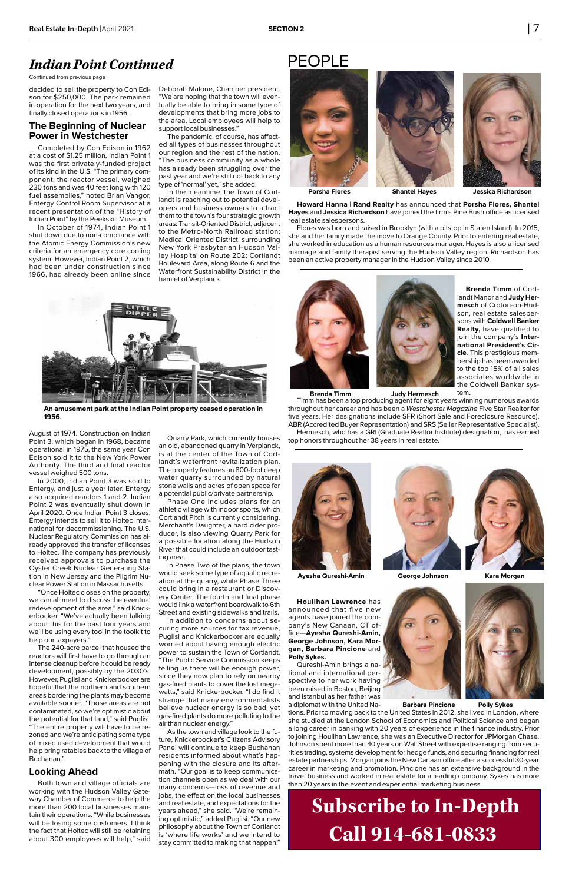**Brenda Timm** of Cortlandt Manor and **Judy Hermesch** of Croton-on-Hudson, real estate salespersons with **Coldwell Banker Realty,** have qualified to join the company's **International President's Circle**. This prestigious membership has been awarded to the top 15% of all sales associates worldwide in the Coldwell Banker system.

Timm has been a top producing agent for eight years winning numerous awards throughout her career and has been a Westchester Magazine Five Star Realtor for five years. Her designations include SFR (Short Sale and Foreclosure Resource), ABR (Accredited Buyer Representation) and SRS (Seller Representative Specialist). Hermesch, who has a GRI (Graduate Realtor Institute) designation, has earned top honors throughout her 38 years in real estate.





**Howard Hanna | Rand Realty** has announced that **Porsha Flores, Shantel Hayes** and **Jessica Richardson** have joined the firm's Pine Bush office as licensed real estate salespersons.

Flores was born and raised in Brooklyn (with a pitstop in Staten Island). In 2015, she and her family made the move to Orange County. Prior to entering real estate, she worked in education as a human resources manager. Hayes is also a licensed marriage and family therapist serving the Hudson Valley region. Richardson has been an active property manager in the Hudson Valley since 2010.



**Houlihan Lawrence** has announced that five new agents have joined the company's New Canaan, CT office—**Ayesha Qureshi-Amin,** 

**George Johnson, Kara Morgan, Barbara Pincione** and **Polly Sykes.** 

Qureshi-Amin brings a national and international perspective to her work having been raised in Boston, Beijing and Istanbul as her father was



tions. Prior to moving back to the United States in 2012, she lived in London, where she studied at the London School of Economics and Political Science and began a long career in banking with 20 years of experience in the finance industry. Prior to joining Houlihan Lawrence, she was an Executive Director for JPMorgan Chase. Johnson spent more than 40 years on Wall Street with expertise ranging from securities trading, systems development for hedge funds, and securing financing for real estate partnerships. Morgan joins the New Canaan office after a successful 30-year career in marketing and promotion. Pincione has an extensive background in the travel business and worked in real estate for a leading company. Sykes has more than 20 years in the event and experiential marketing business.

## PEOPLE







**Brenda Timm Judy Hermesch**

**Ayesha Qureshi-Amin George Johnson Kara Morgan**



**Barbara Pincione Polly Sykes** 

decided to sell the property to Con Edison for \$250,000. The park remained in operation for the next two years, and finally closed operations in 1956.

#### **The Beginning of Nuclear Power in Westchester**

Completed by Con Edison in 1962 at a cost of \$1.25 million, Indian Point 1 was the first privately-funded project of its kind in the U.S. "The primary component, the reactor vessel, weighed 230 tons and was 40 feet long with 120 fuel assemblies," noted Brian Vangor, Entergy Control Room Supervisor at a recent presentation of the "History of Indian Point" by the Peekskill Museum.

In October of 1974, Indian Point 1 shut down due to non-compliance with the Atomic Energy Commission's new criteria for an emergency core cooling system. However, Indian Point 2, which had been under construction since 1966, had already been online since

August of 1974. Construction on Indian Point 3, which began in 1968, became operational in 1975, the same year Con Edison sold it to the New York Power Authority. The third and final reactor vessel weighed 500 tons.

In 2000, Indian Point 3 was sold to Entergy, and just a year later, Entergy also acquired reactors 1 and 2. Indian Point 2 was eventually shut down in April 2020. Once Indian Point 3 closes, Entergy intends to sell it to Holtec International for decommissioning. The U.S. Nuclear Regulatory Commission has already approved the transfer of licenses to Holtec. The company has previously received approvals to purchase the Oyster Creek Nuclear Generating Station in New Jersey and the Pilgrim Nuclear Power Station in Massachusetts.

"Once Holtec closes on the property, we can all meet to discuss the eventual redevelopment of the area," said Knickerbocker. "We've actually been talking about this for the past four years and we'll be using every tool in the toolkit to help our taxpayers."

The 240-acre parcel that housed the reactors will first have to go through an intense cleanup before it could be ready development, possibly by the 2030's. However, Puglisi and Knickerbocker are hopeful that the northern and southern areas bordering the plants may become available sooner. "Those areas are not contaminated, so we're optimistic about the potential for that land," said Puglisi. "The entire property will have to be rezoned and we're anticipating some type of mixed used development that would help bring ratables back to the village of Buchanan."

#### **Looking Ahead**

Both town and village officials are working with the Hudson Valley Gateway Chamber of Commerce to help the more than 200 local businesses maintain their operations. "While businesses will be losing some customers, I think the fact that Holtec will still be retaining about 300 employees will help," said

Deborah Malone, Chamber president. "We are hoping that the town will eventually be able to bring in some type of developments that bring more jobs to the area. Local employees will help to support local businesses."

The pandemic, of course, has affected all types of businesses throughout our region and the rest of the nation. "The business community as a whole has already been struggling over the past year and we're still not back to any type of 'normal' yet," she added.

In the meantime, the Town of Cortlandt is reaching out to potential developers and business owners to attract them to the town's four strategic growth areas: Transit-Oriented District, adjacent to the Metro-North Railroad station; Medical Oriented District, surrounding New York Presbyterian Hudson Valley Hospital on Route 202; Cortlandt Boulevard Area, along Route 6 and the Waterfront Sustainability District in the hamlet of Verplanck.

Quarry Park, which currently houses an old, abandoned quarry in Verplanck, is at the center of the Town of Cortlandt's waterfront revitalization plan. The property features an 800-foot deep water quarry surrounded by natural stone walls and acres of open space for a potential public/private partnership.

Phase One includes plans for an athletic village with indoor sports, which Cortlandt Pitch is currently considering. Merchant's Daughter, a hard cider producer, is also viewing Quarry Park for a possible location along the Hudson River that could include an outdoor tasting area.

In Phase Two of the plans, the town would seek some type of aquatic recreation at the quarry, while Phase Three could bring in a restaurant or Discovery Center. The fourth and final phase would link a waterfront boardwalk to 6th Street and existing sidewalks and trails.

In addition to concerns about securing more sources for tax revenue, Puglisi and Knickerbocker are equally worried about having enough electric power to sustain the Town of Cortlandt. "The Public Service Commission keeps telling us there will be enough power, since they now plan to rely on nearby gas-fired plants to cover the lost megawatts," said Knickerbocker. "I do find it strange that many environmentalists believe nuclear energy is so bad, yet gas-fired plants do more polluting to the air than nuclear energy." As the town and village look to the future, Knickerbocker's Citizens Advisory Panel will continue to keep Buchanan residents informed about what's happening with the closure and its aftermath. "Our goal is to keep communication channels open as we deal with our many concerns—loss of revenue and jobs, the effect on the local businesses and real estate, and expectations for the years ahead," she said. "We're remaining optimistic," added Puglisi. "Our new philosophy about the Town of Cortlandt is 'where life works' and we intend to stay committed to making that happen."

### *Indian Point Continued*

#### Continued from previous page

# **Subscribe to In-Depth Call 914-681-0833**



**An amusement park at the Indian Point property ceased operation in 1956.**